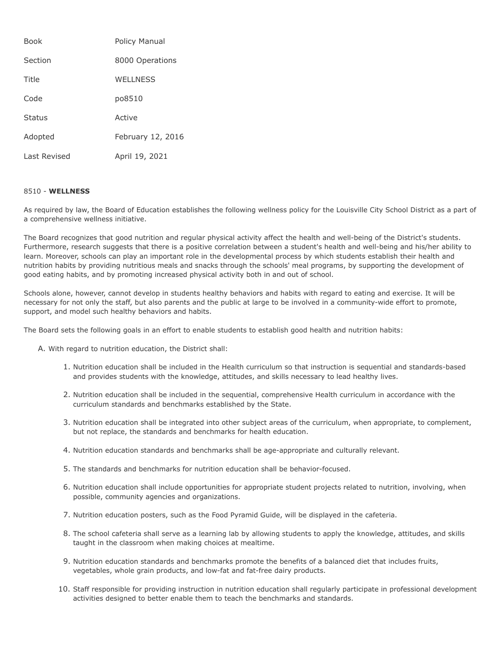| <b>Book</b>  | Policy Manual     |
|--------------|-------------------|
| Section      | 8000 Operations   |
| Title        | <b>WELLNESS</b>   |
| Code         | po8510            |
| Status       | Active            |
| Adopted      | February 12, 2016 |
| Last Revised | April 19, 2021    |

## 8510 - **WELLNESS**

As required by law, the Board of Education establishes the following wellness policy for the Louisville City School District as a part of a comprehensive wellness initiative.

The Board recognizes that good nutrition and regular physical activity affect the health and well-being of the District's students. Furthermore, research suggests that there is a positive correlation between a student's health and well-being and his/her ability to learn. Moreover, schools can play an important role in the developmental process by which students establish their health and nutrition habits by providing nutritious meals and snacks through the schools' meal programs, by supporting the development of good eating habits, and by promoting increased physical activity both in and out of school.

Schools alone, however, cannot develop in students healthy behaviors and habits with regard to eating and exercise. It will be necessary for not only the staff, but also parents and the public at large to be involved in a community-wide effort to promote, support, and model such healthy behaviors and habits.

The Board sets the following goals in an effort to enable students to establish good health and nutrition habits:

A. With regard to nutrition education, the District shall:

- 1. Nutrition education shall be included in the Health curriculum so that instruction is sequential and standards-based and provides students with the knowledge, attitudes, and skills necessary to lead healthy lives.
- 2. Nutrition education shall be included in the sequential, comprehensive Health curriculum in accordance with the curriculum standards and benchmarks established by the State.
- 3. Nutrition education shall be integrated into other subject areas of the curriculum, when appropriate, to complement, but not replace, the standards and benchmarks for health education.
- 4. Nutrition education standards and benchmarks shall be age-appropriate and culturally relevant.
- 5. The standards and benchmarks for nutrition education shall be behavior-focused.
- 6. Nutrition education shall include opportunities for appropriate student projects related to nutrition, involving, when possible, community agencies and organizations.
- 7. Nutrition education posters, such as the Food Pyramid Guide, will be displayed in the cafeteria.
- 8. The school cafeteria shall serve as a learning lab by allowing students to apply the knowledge, attitudes, and skills taught in the classroom when making choices at mealtime.
- 9. Nutrition education standards and benchmarks promote the benefits of a balanced diet that includes fruits, vegetables, whole grain products, and low-fat and fat-free dairy products.
- 10. Staff responsible for providing instruction in nutrition education shall regularly participate in professional development activities designed to better enable them to teach the benchmarks and standards.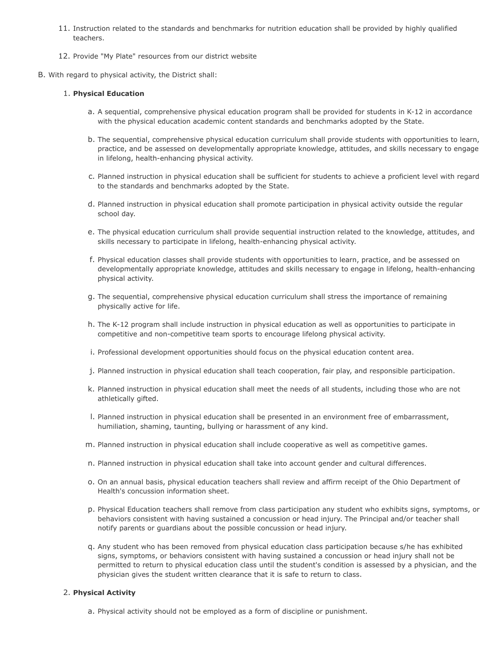- 11. Instruction related to the standards and benchmarks for nutrition education shall be provided by highly qualified teachers.
- 12. Provide "My Plate" resources from our district website
- B. With regard to physical activity, the District shall:

## 1. **Physical Education**

- a. A sequential, comprehensive physical education program shall be provided for students in K-12 in accordance with the physical education academic content standards and benchmarks adopted by the State.
- b. The sequential, comprehensive physical education curriculum shall provide students with opportunities to learn, practice, and be assessed on developmentally appropriate knowledge, attitudes, and skills necessary to engage in lifelong, health-enhancing physical activity.
- c. Planned instruction in physical education shall be sufficient for students to achieve a proficient level with regard to the standards and benchmarks adopted by the State.
- d. Planned instruction in physical education shall promote participation in physical activity outside the regular school day.
- e. The physical education curriculum shall provide sequential instruction related to the knowledge, attitudes, and skills necessary to participate in lifelong, health-enhancing physical activity.
- f. Physical education classes shall provide students with opportunities to learn, practice, and be assessed on developmentally appropriate knowledge, attitudes and skills necessary to engage in lifelong, health-enhancing physical activity.
- g. The sequential, comprehensive physical education curriculum shall stress the importance of remaining physically active for life.
- h. The K-12 program shall include instruction in physical education as well as opportunities to participate in competitive and non-competitive team sports to encourage lifelong physical activity.
- i. Professional development opportunities should focus on the physical education content area.
- j. Planned instruction in physical education shall teach cooperation, fair play, and responsible participation.
- k. Planned instruction in physical education shall meet the needs of all students, including those who are not athletically gifted.
- l. Planned instruction in physical education shall be presented in an environment free of embarrassment, humiliation, shaming, taunting, bullying or harassment of any kind.
- m. Planned instruction in physical education shall include cooperative as well as competitive games.
- n. Planned instruction in physical education shall take into account gender and cultural differences.
- o. On an annual basis, physical education teachers shall review and affirm receipt of the Ohio Department of Health's concussion information sheet.
- p. Physical Education teachers shall remove from class participation any student who exhibits signs, symptoms, or behaviors consistent with having sustained a concussion or head injury. The Principal and/or teacher shall notify parents or guardians about the possible concussion or head injury.
- q. Any student who has been removed from physical education class participation because s/he has exhibited signs, symptoms, or behaviors consistent with having sustained a concussion or head injury shall not be permitted to return to physical education class until the student's condition is assessed by a physician, and the physician gives the student written clearance that it is safe to return to class.

## 2. **Physical Activity**

a. Physical activity should not be employed as a form of discipline or punishment.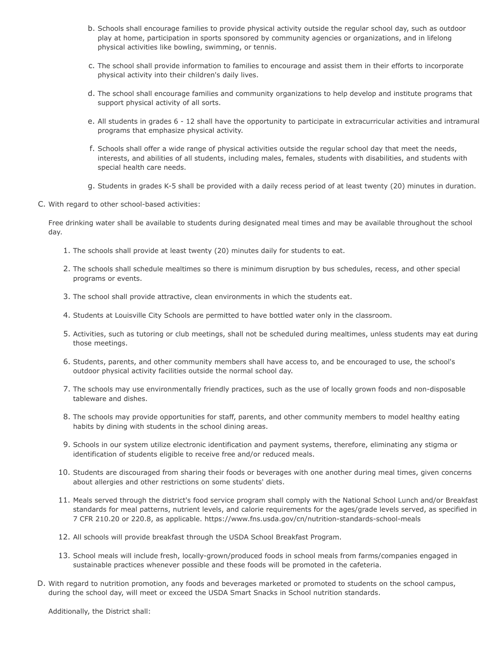- b. Schools shall encourage families to provide physical activity outside the regular school day, such as outdoor play at home, participation in sports sponsored by community agencies or organizations, and in lifelong physical activities like bowling, swimming, or tennis.
- c. The school shall provide information to families to encourage and assist them in their efforts to incorporate physical activity into their children's daily lives.
- d. The school shall encourage families and community organizations to help develop and institute programs that support physical activity of all sorts.
- e. All students in grades 6 12 shall have the opportunity to participate in extracurricular activities and intramural programs that emphasize physical activity.
- f. Schools shall offer a wide range of physical activities outside the regular school day that meet the needs, interests, and abilities of all students, including males, females, students with disabilities, and students with special health care needs.
- g. Students in grades K-5 shall be provided with a daily recess period of at least twenty (20) minutes in duration.
- C. With regard to other school-based activities:

Free drinking water shall be available to students during designated meal times and may be available throughout the school day.

- 1. The schools shall provide at least twenty (20) minutes daily for students to eat.
- 2. The schools shall schedule mealtimes so there is minimum disruption by bus schedules, recess, and other special programs or events.
- 3. The school shall provide attractive, clean environments in which the students eat.
- 4. Students at Louisville City Schools are permitted to have bottled water only in the classroom.
- 5. Activities, such as tutoring or club meetings, shall not be scheduled during mealtimes, unless students may eat during those meetings.
- 6. Students, parents, and other community members shall have access to, and be encouraged to use, the school's outdoor physical activity facilities outside the normal school day.
- 7. The schools may use environmentally friendly practices, such as the use of locally grown foods and non-disposable tableware and dishes.
- 8. The schools may provide opportunities for staff, parents, and other community members to model healthy eating habits by dining with students in the school dining areas.
- 9. Schools in our system utilize electronic identification and payment systems, therefore, eliminating any stigma or identification of students eligible to receive free and/or reduced meals.
- 10. Students are discouraged from sharing their foods or beverages with one another during meal times, given concerns about allergies and other restrictions on some students' diets.
- 11. Meals served through the district's food service program shall comply with the National School Lunch and/or Breakfast standards for meal patterns, nutrient levels, and calorie requirements for the ages/grade levels served, as specified in 7 CFR 210.20 or 220.8, as applicable. https://www.fns.usda.gov/cn/nutrition-standards-school-meals
- 12. All schools will provide breakfast through the USDA School Breakfast Program.
- 13. School meals will include fresh, locally-grown/produced foods in school meals from farms/companies engaged in sustainable practices whenever possible and these foods will be promoted in the cafeteria.
- D. With regard to nutrition promotion, any foods and beverages marketed or promoted to students on the school campus, during the school day, will meet or exceed the USDA Smart Snacks in School nutrition standards.

Additionally, the District shall: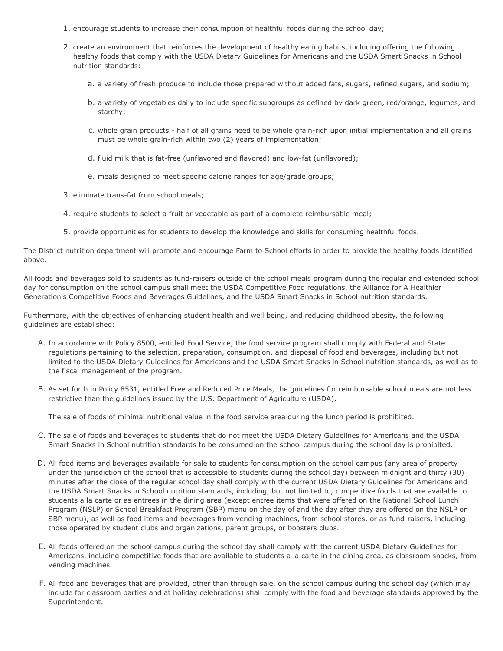- 1. encourage students to increase their consumption of healthful foods during the school day;
- 2. create an environment that reinforces the development of healthy eating habits, including offering the following healthy foods that comply with the USDA Dietary Guidelines for Americans and the USDA Smart Snacks in School nutrition standards:
	- a. a variety of fresh produce to include those prepared without added fats, sugars, refined sugars, and sodium;
	- b. a variety of vegetables daily to include specific subgroups as defined by dark green, red/orange, legumes, and starchy;
	- c. whole grain products half of all grains need to be whole grain-rich upon initial implementation and all grains must be whole grain-rich within two (2) years of implementation;
	- d. fluid milk that is fat-free (unflavored and flavored) and low-fat (unflavored);
	- e. meals designed to meet specific calorie ranges for age/grade groups;
- 3. eliminate trans-fat from school meals;
- 4. require students to select a fruit or vegetable as part of a complete reimbursable meal;
- 5. provide opportunities for students to develop the knowledge and skills for consuming healthful foods.

The District nutrition department will promote and encourage Farm to School efforts in order to provide the healthy foods identified above.

All foods and beverages sold to students as fund-raisers outside of the school meals program during the regular and extended school day for consumption on the school campus shall meet the USDA Competitive Food regulations, the Alliance for A Healthier Generation's Competitive Foods and Beverages Guidelines, and the USDA Smart Snacks in School nutrition standards.

Furthermore, with the objectives of enhancing student health and well being, and reducing childhood obesity, the following guidelines are established:

- A. In accordance with Policy 8500, entitled Food Service, the food service program shall comply with Federal and State regulations pertaining to the selection, preparation, consumption, and disposal of food and beverages, including but not limited to the USDA Dietary Guidelines for Americans and the USDA Smart Snacks in School nutrition standards, as well as to the fiscal management of the program.
- B. As set forth in Policy 8531, entitled Free and Reduced Price Meals, the guidelines for reimbursable school meals are not less restrictive than the guidelines issued by the U.S. Department of Agriculture (USDA).

The sale of foods of minimal nutritional value in the food service area during the lunch period is prohibited.

- C. The sale of foods and beverages to students that do not meet the USDA Dietary Guidelines for Americans and the USDA Smart Snacks in School nutrition standards to be consumed on the school campus during the school day is prohibited.
- D. All food items and beverages available for sale to students for consumption on the school campus (any area of property under the jurisdiction of the school that is accessible to students during the school day) between midnight and thirty (30) minutes after the close of the regular school day shall comply with the current USDA Dietary Guidelines for Americans and the USDA Smart Snacks in School nutrition standards, including, but not limited to, competitive foods that are available to students a la carte or as entrees in the dining area (except entree items that were offered on the National School Lunch Program (NSLP) or School Breakfast Program (SBP) menu on the day of and the day after they are offered on the NSLP or SBP menu), as well as food items and beverages from vending machines, from school stores, or as fund-raisers, including those operated by student clubs and organizations, parent groups, or boosters clubs.
- E. All foods offered on the school campus during the school day shall comply with the current USDA Dietary Guidelines for Americans, including competitive foods that are available to students a la carte in the dining area, as classroom snacks, from vending machines.
- F. All food and beverages that are provided, other than through sale, on the school campus during the school day (which may include for classroom parties and at holiday celebrations) shall comply with the food and beverage standards approved by the Superintendent.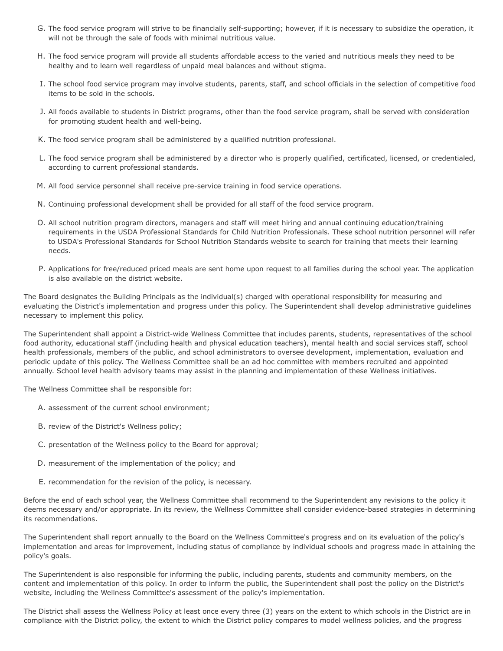- G. The food service program will strive to be financially self-supporting; however, if it is necessary to subsidize the operation, it will not be through the sale of foods with minimal nutritious value.
- H. The food service program will provide all students affordable access to the varied and nutritious meals they need to be healthy and to learn well regardless of unpaid meal balances and without stigma.
- I. The school food service program may involve students, parents, staff, and school officials in the selection of competitive food items to be sold in the schools.
- J. All foods available to students in District programs, other than the food service program, shall be served with consideration for promoting student health and well-being.
- K. The food service program shall be administered by a qualified nutrition professional.
- L. The food service program shall be administered by a director who is properly qualified, certificated, licensed, or credentialed, according to current professional standards.
- M. All food service personnel shall receive pre-service training in food service operations.
- N. Continuing professional development shall be provided for all staff of the food service program.
- O. All school nutrition program directors, managers and staff will meet hiring and annual continuing education/training requirements in the USDA Professional Standards for Child Nutrition Professionals. These school nutrition personnel will refer to USDA's Professional Standards for School Nutrition Standards website to search for training that meets their learning needs.
- P. Applications for free/reduced priced meals are sent home upon request to all families during the school year. The application is also available on the district website.

The Board designates the Building Principals as the individual(s) charged with operational responsibility for measuring and evaluating the District's implementation and progress under this policy. The Superintendent shall develop administrative guidelines necessary to implement this policy.

The Superintendent shall appoint a District-wide Wellness Committee that includes parents, students, representatives of the school food authority, educational staff (including health and physical education teachers), mental health and social services staff, school health professionals, members of the public, and school administrators to oversee development, implementation, evaluation and periodic update of this policy. The Wellness Committee shall be an ad hoc committee with members recruited and appointed annually. School level health advisory teams may assist in the planning and implementation of these Wellness initiatives.

The Wellness Committee shall be responsible for:

- A. assessment of the current school environment;
- B. review of the District's Wellness policy;
- C. presentation of the Wellness policy to the Board for approval;
- D. measurement of the implementation of the policy; and
- E. recommendation for the revision of the policy, is necessary.

Before the end of each school year, the Wellness Committee shall recommend to the Superintendent any revisions to the policy it deems necessary and/or appropriate. In its review, the Wellness Committee shall consider evidence-based strategies in determining its recommendations.

The Superintendent shall report annually to the Board on the Wellness Committee's progress and on its evaluation of the policy's implementation and areas for improvement, including status of compliance by individual schools and progress made in attaining the policy's goals.

The Superintendent is also responsible for informing the public, including parents, students and community members, on the content and implementation of this policy. In order to inform the public, the Superintendent shall post the policy on the District's website, including the Wellness Committee's assessment of the policy's implementation.

The District shall assess the Wellness Policy at least once every three (3) years on the extent to which schools in the District are in compliance with the District policy, the extent to which the District policy compares to model wellness policies, and the progress